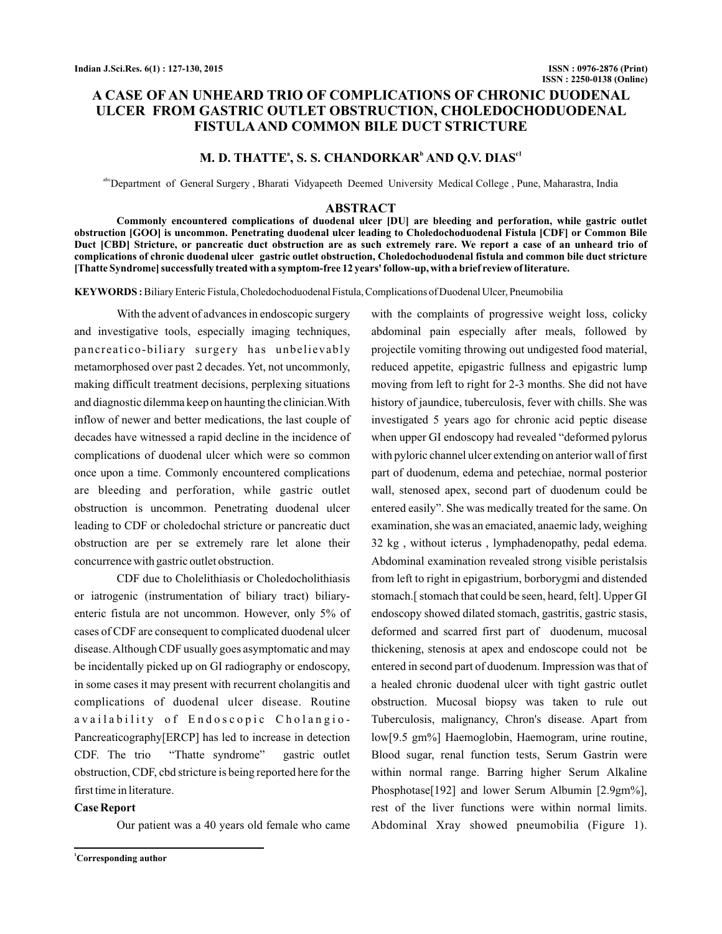## **A CASE OF AN UNHEARD TRIO OF COMPLICATIONS OF CHRONIC DUODENAL ULCER FROM GASTRIC OUTLET OBSTRUCTION, CHOLEDOCHODUODENAL FISTULA AND COMMON BILE DUCT STRICTURE**

## **M. D. THATTE<sup>\*</sup>, S. S. CHANDORKAR<sup>b</sup> AND O.V. DIAS<sup>c1</sup>**

abcDepartment of General Surgery , Bharati Vidyapeeth Deemed University Medical College , Pune, Maharastra, India

#### **ABSTRACT**

**Commonly encountered complications of duodenal ulcer [DU] are bleeding and perforation, while gastric outlet obstruction [GOO] is uncommon. Penetrating duodenal ulcer leading to Choledochoduodenal Fistula [CDF] or Common Bile Duct [CBD] Stricture, or pancreatic duct obstruction are as such extremely rare. We report a case of an unheard trio of complications of chronic duodenal ulcer gastric outlet obstruction, Choledochoduodenal fistula and common bile duct stricture [Thatte Syndrome] successfully treated with a symptom-free 12 years' follow-up, with a brief review of literature.**

KEYWORDS: Biliary Enteric Fistula, Choledochoduodenal Fistula, Complications of Duodenal Ulcer, Pneumobilia

With the advent of advances in endoscopic surgery and investigative tools, especially imaging techniques, pancreatico-biliary surgery has unbelievably metamorphosed over past 2 decades. Yet, not uncommonly, making difficult treatment decisions, perplexing situations and diagnostic dilemma keep on haunting the clinician.With inflow of newer and better medications, the last couple of decades have witnessed a rapid decline in the incidence of complications of duodenal ulcer which were so common once upon a time. Commonly encountered complications are bleeding and perforation, while gastric outlet obstruction is uncommon. Penetrating duodenal ulcer leading to CDF or choledochal stricture or pancreatic duct obstruction are per se extremely rare let alone their concurrence with gastric outlet obstruction.

CDF due to Cholelithiasis or Choledocholithiasis or iatrogenic (instrumentation of biliary tract) biliaryenteric fistula are not uncommon. However, only 5% of cases of CDF are consequent to complicated duodenal ulcer disease.Although CDF usually goes asymptomatic and may be incidentally picked up on GI radiography or endoscopy, in some cases it may present with recurrent cholangitis and complications of duodenal ulcer disease. Routine availability of Endoscopic Cholangio-Pancreaticography[ERCP] has led to increase in detection CDF. The trio "Thatte syndrome" gastric outlet obstruction, CDF, cbd stricture is being reported here for the first time in literature.

#### **Case Report**

Our patient was a 40 years old female who came

**<sup>1</sup>Corresponding author**

with the complaints of progressive weight loss, colicky abdominal pain especially after meals, followed by projectile vomiting throwing out undigested food material, reduced appetite, epigastric fullness and epigastric lump moving from left to right for 2-3 months. She did not have history of jaundice, tuberculosis, fever with chills. She was investigated 5 years ago for chronic acid peptic disease when upper GI endoscopy had revealed "deformed pylorus with pyloric channel ulcer extending on anterior wall of first part of duodenum, edema and petechiae, normal posterior wall, stenosed apex, second part of duodenum could be entered easily". She was medically treated for the same. On examination, she was an emaciated, anaemic lady, weighing 32 kg , without icterus , lymphadenopathy, pedal edema. Abdominal examination revealed strong visible peristalsis from left to right in epigastrium, borborygmi and distended stomach.[ stomach that could be seen, heard, felt]. Upper GI endoscopy showed dilated stomach, gastritis, gastric stasis, deformed and scarred first part of duodenum, mucosal thickening, stenosis at apex and endoscope could not be entered in second part of duodenum. Impression was that of a healed chronic duodenal ulcer with tight gastric outlet obstruction. Mucosal biopsy was taken to rule out Tuberculosis, malignancy, Chron's disease. Apart from low[9.5 gm%] Haemoglobin, Haemogram, urine routine, Blood sugar, renal function tests, Serum Gastrin were within normal range. Barring higher Serum Alkaline Phosphotase[192] and lower Serum Albumin [2.9gm%], rest of the liver functions were within normal limits. Abdominal Xray showed pneumobilia (Figure 1).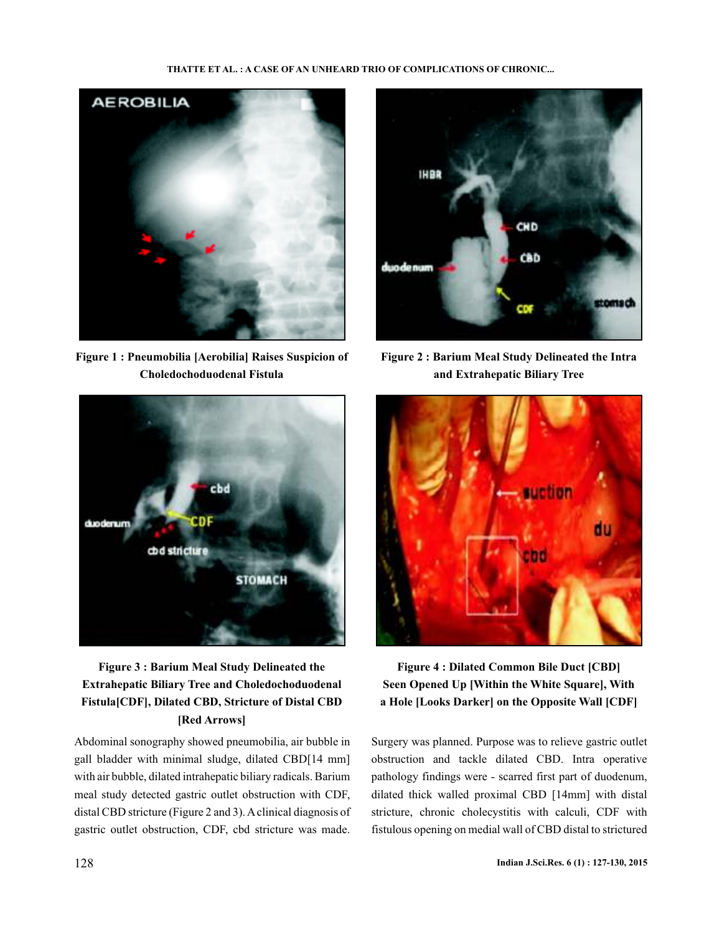#### **THATTE ET AL. : A CASE OF AN UNHEARD TRIO OF COMPLICATIONS OF CHRONIC...**



**Figure 1 : Pneumobilia [Aerobilia] Raises Suspicion of Choledochoduodenal Fistula**



# **Figure 3 : Barium Meal Study Delineated the Extrahepatic Biliary Tree and Choledochoduodenal Fistula[CDF], Dilated CBD, Stricture of Distal CBD [Red Arrows]**

Abdominal sonography showed pneumobilia, air bubble in gall bladder with minimal sludge, dilated CBD[14 mm] with air bubble, dilated intrahepatic biliary radicals. Barium meal study detected gastric outlet obstruction with CDF, distal CBD stricture (Figure 2 and 3). A clinical diagnosis of gastric outlet obstruction, CDF, cbd stricture was made.



**Figure 2 : Barium Meal Study Delineated the Intra and Extrahepatic Biliary Tree**



**Figure 4 : Dilated Common Bile Duct [CBD] Seen Opened Up [Within the White Square], With a Hole [Looks Darker] on the Opposite Wall [CDF]**

Surgery was planned. Purpose was to relieve gastric outlet obstruction and tackle dilated CBD. Intra operative pathology findings were - scarred first part of duodenum, dilated thick walled proximal CBD [14mm] with distal stricture, chronic cholecystitis with calculi, CDF with fistulous opening on medial wall of CBD distal to strictured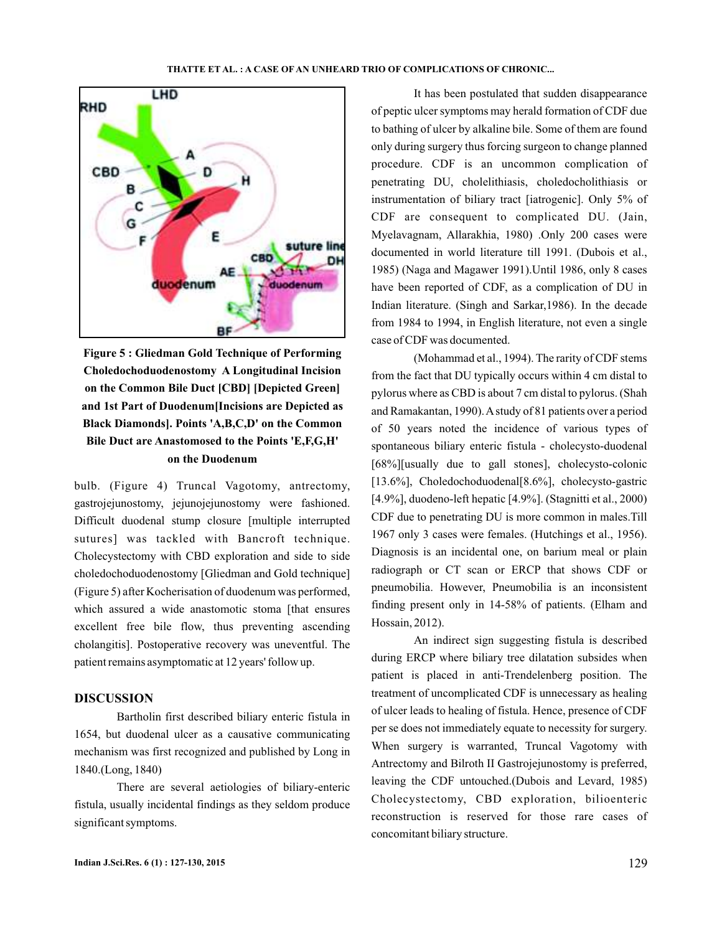

**Figure 5 : Gliedman Gold Technique of Performing Choledochoduodenostomy A Longitudinal Incision on the Common Bile Duct [CBD] [Depicted Green] and 1st Part of Duodenum[Incisions are Depicted as Black Diamonds]. Points 'A,B,C,D' on the Common Bile Duct are Anastomosed to the Points 'E,F,G,H' on the Duodenum**

bulb. (Figure 4) Truncal Vagotomy, antrectomy, gastrojejunostomy, jejunojejunostomy were fashioned. Difficult duodenal stump closure [multiple interrupted sutures] was tackled with Bancroft technique. Cholecystectomy with CBD exploration and side to side choledochoduodenostomy [Gliedman and Gold technique] (Figure 5) after Kocherisation of duodenum was performed, which assured a wide anastomotic stoma [that ensures excellent free bile flow, thus preventing ascending cholangitis]. Postoperative recovery was uneventful. The patient remains asymptomatic at 12 years' follow up.

### **DISCUSSION**

Bartholin first described biliary enteric fistula in 1654, but duodenal ulcer as a causative communicating mechanism was first recognized and published by Long in 1840.(Long, 1840)

There are several aetiologies of biliary-enteric fistula, usually incidental findings as they seldom produce significant symptoms.

It has been postulated that sudden disappearance of peptic ulcer symptoms may herald formation of CDF due to bathing of ulcer by alkaline bile. Some of them are found only during surgery thus forcing surgeon to change planned procedure. CDF is an uncommon complication of penetrating DU, cholelithiasis, choledocholithiasis or instrumentation of biliary tract [iatrogenic]. Only 5% of CDF are consequent to complicated DU. (Jain, Myelavagnam, Allarakhia, 1980) .Only 200 cases were documented in world literature till 1991. (Dubois et al., 1985) (Naga and Magawer 1991).Until 1986, only 8 cases have been reported of CDF, as a complication of DU in Indian literature. (Singh and Sarkar,1986). In the decade from 1984 to 1994, in English literature, not even a single case of CDF was documented.

(Mohammad et al., 1994). The rarity of CDF stems from the fact that DU typically occurs within 4 cm distal to pylorus where as CBD is about 7 cm distal to pylorus. (Shah and Ramakantan, 1990).Astudy of 81 patients over a period of 50 years noted the incidence of various types of spontaneous biliary enteric fistula - cholecysto-duodenal [68%][usually due to gall stones], cholecysto-colonic [13.6%], Choledochoduodenal[8.6%], cholecysto-gastric [4.9%], duodeno-left hepatic [4.9%]. (Stagnitti et al., 2000) CDF due to penetrating DU is more common in males.Till 1967 only 3 cases were females. (Hutchings et al., 1956). Diagnosis is an incidental one, on barium meal or plain radiograph or CT scan or ERCP that shows CDF or pneumobilia. However, Pneumobilia is an inconsistent finding present only in 14-58% of patients. (Elham and Hossain, 2012).

An indirect sign suggesting fistula is described during ERCP where biliary tree dilatation subsides when patient is placed in anti-Trendelenberg position. The treatment of uncomplicated CDF is unnecessary as healing of ulcer leads to healing of fistula. Hence, presence of CDF per se does not immediately equate to necessity for surgery. When surgery is warranted, Truncal Vagotomy with Antrectomy and Bilroth II Gastrojejunostomy is preferred, leaving the CDF untouched.(Dubois and Levard, 1985) Cholecystectomy, CBD exploration, bilioenteric reconstruction is reserved for those rare cases of concomitant biliary structure.